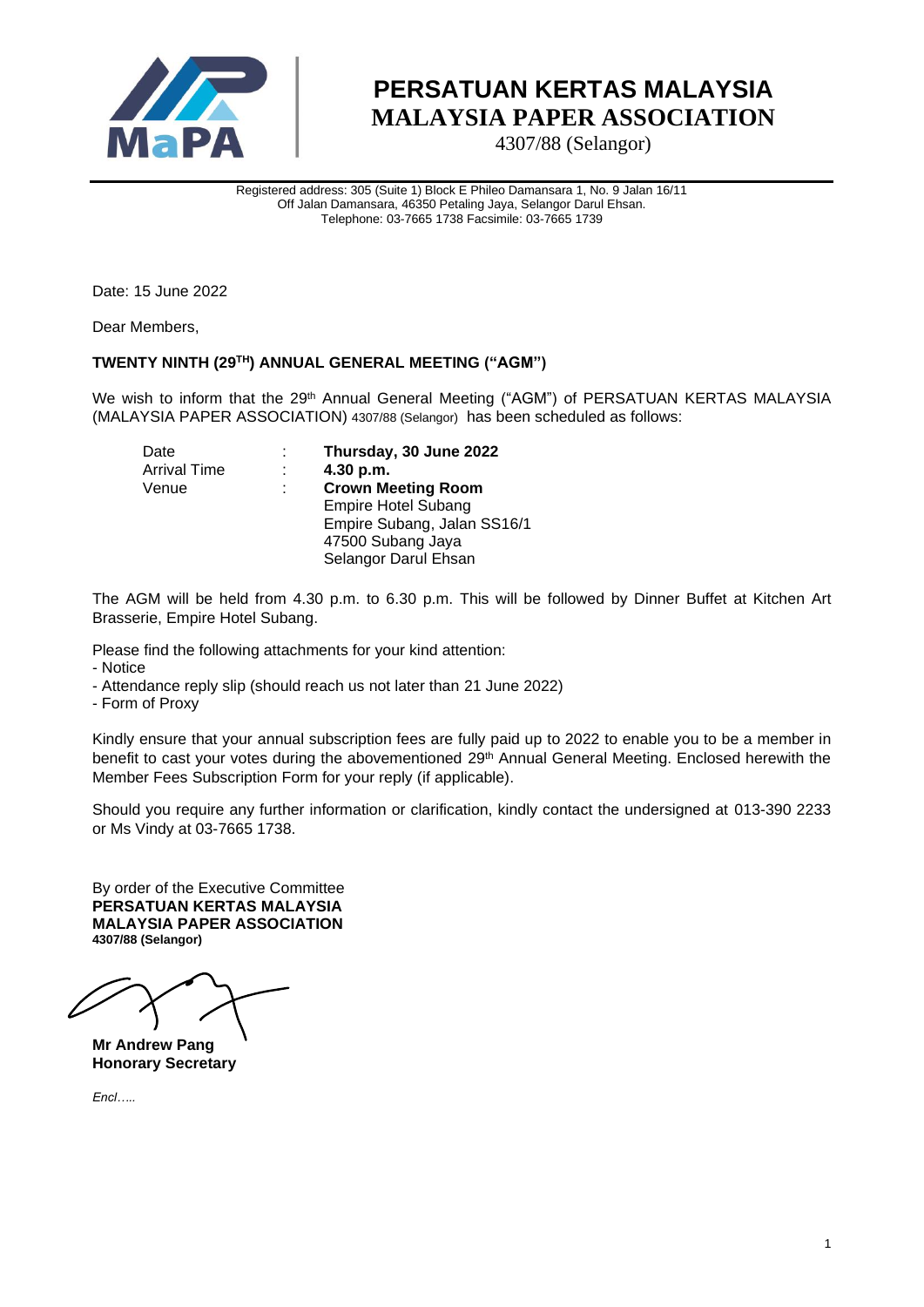

4307/88 (Selangor)

Registered address: 305 (Suite 1) Block E Phileo Damansara 1, No. 9 Jalan 16/11 Off Jalan Damansara, 46350 Petaling Jaya, Selangor Darul Ehsan. Telephone: 03-7665 1738 Facsimile: 03-7665 1739

Date: 15 June 2022

Dear Members,

#### **TWENTY NINTH (29 TH) ANNUAL GENERAL MEETING ("AGM")**

We wish to inform that the 29<sup>th</sup> Annual General Meeting ("AGM") of PERSATUAN KERTAS MALAYSIA (MALAYSIA PAPER ASSOCIATION) 4307/88 (Selangor) has been scheduled as follows:

| Date                |   | Thursday, 30 June 2022      |
|---------------------|---|-----------------------------|
| <b>Arrival Time</b> |   | 4.30 p.m.                   |
| Venue               | ÷ | <b>Crown Meeting Room</b>   |
|                     |   | <b>Empire Hotel Subang</b>  |
|                     |   | Empire Subang, Jalan SS16/1 |
|                     |   | 47500 Subang Jaya           |
|                     |   | Selangor Darul Ehsan        |

The AGM will be held from 4.30 p.m. to 6.30 p.m. This will be followed by Dinner Buffet at Kitchen Art Brasserie, Empire Hotel Subang.

Please find the following attachments for your kind attention:

- Notice

- Attendance reply slip (should reach us not later than 21 June 2022)

- Form of Proxy

Kindly ensure that your annual subscription fees are fully paid up to 2022 to enable you to be a member in benefit to cast your votes during the abovementioned 29<sup>th</sup> Annual General Meeting. Enclosed herewith the Member Fees Subscription Form for your reply (if applicable).

Should you require any further information or clarification, kindly contact the undersigned at 013-390 2233 or Ms Vindy at 03-7665 1738.

By order of the Executive Committee **PERSATUAN KERTAS MALAYSIA MALAYSIA PAPER ASSOCIATION 4307/88 (Selangor)**

**Mr Andrew Pang Honorary Secretary**

*Encl…..*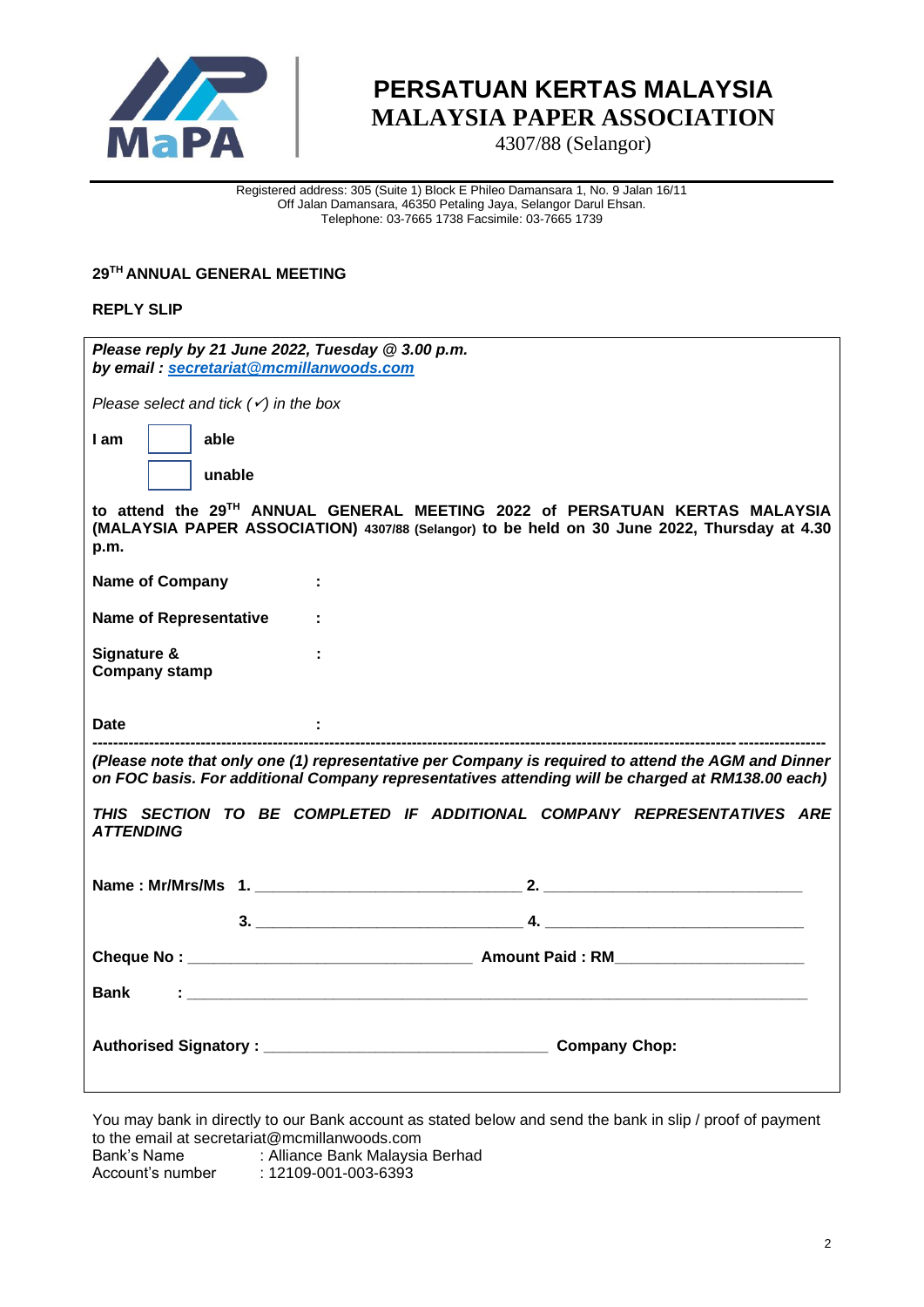

4307/88 (Selangor)

Registered address: 305 (Suite 1) Block E Phileo Damansara 1, No. 9 Jalan 16/11 Off Jalan Damansara, 46350 Petaling Jaya, Selangor Darul Ehsan. Telephone: 03-7665 1738 Facsimile: 03-7665 1739

#### **29 TH ANNUAL GENERAL MEETING**

#### **REPLY SLIP**

| Please reply by 21 June 2022, Tuesday @ 3.00 p.m.<br>by email: secretariat@mcmillanwoods.com                                                                                                           |  |  |
|--------------------------------------------------------------------------------------------------------------------------------------------------------------------------------------------------------|--|--|
| Please select and tick $(\checkmark)$ in the box                                                                                                                                                       |  |  |
| able<br>I am                                                                                                                                                                                           |  |  |
| unable                                                                                                                                                                                                 |  |  |
| to attend the 29TH ANNUAL GENERAL MEETING 2022 of PERSATUAN KERTAS MALAYSIA<br>(MALAYSIA PAPER ASSOCIATION) 4307/88 (Selangor) to be held on 30 June 2022, Thursday at 4.30<br>p.m.                    |  |  |
| <b>Name of Company</b><br>÷                                                                                                                                                                            |  |  |
| <b>Name of Representative</b>                                                                                                                                                                          |  |  |
| Signature &<br><b>Company stamp</b>                                                                                                                                                                    |  |  |
| <b>Date</b>                                                                                                                                                                                            |  |  |
| (Please note that only one (1) representative per Company is required to attend the AGM and Dinner<br>on FOC basis. For additional Company representatives attending will be charged at RM138.00 each) |  |  |
| THIS SECTION TO BE COMPLETED IF ADDITIONAL COMPANY REPRESENTATIVES ARE<br><i><b>ATTENDING</b></i>                                                                                                      |  |  |
|                                                                                                                                                                                                        |  |  |
|                                                                                                                                                                                                        |  |  |
|                                                                                                                                                                                                        |  |  |
| Bank<br>まんしゅう アイ・シー アイ・シー アイ・シー アイ・シー アイ・シー                                                                                                                                                            |  |  |
|                                                                                                                                                                                                        |  |  |

You may bank in directly to our Bank account as stated below and send the bank in slip / proof of payment to the email at secretariat@mcmillanwoods.com Bank's Name : Alliance Bank Malaysia Berhad<br>Account's number : 12109-001-003-6393

 $: 12109 - 001 - 003 - 6393$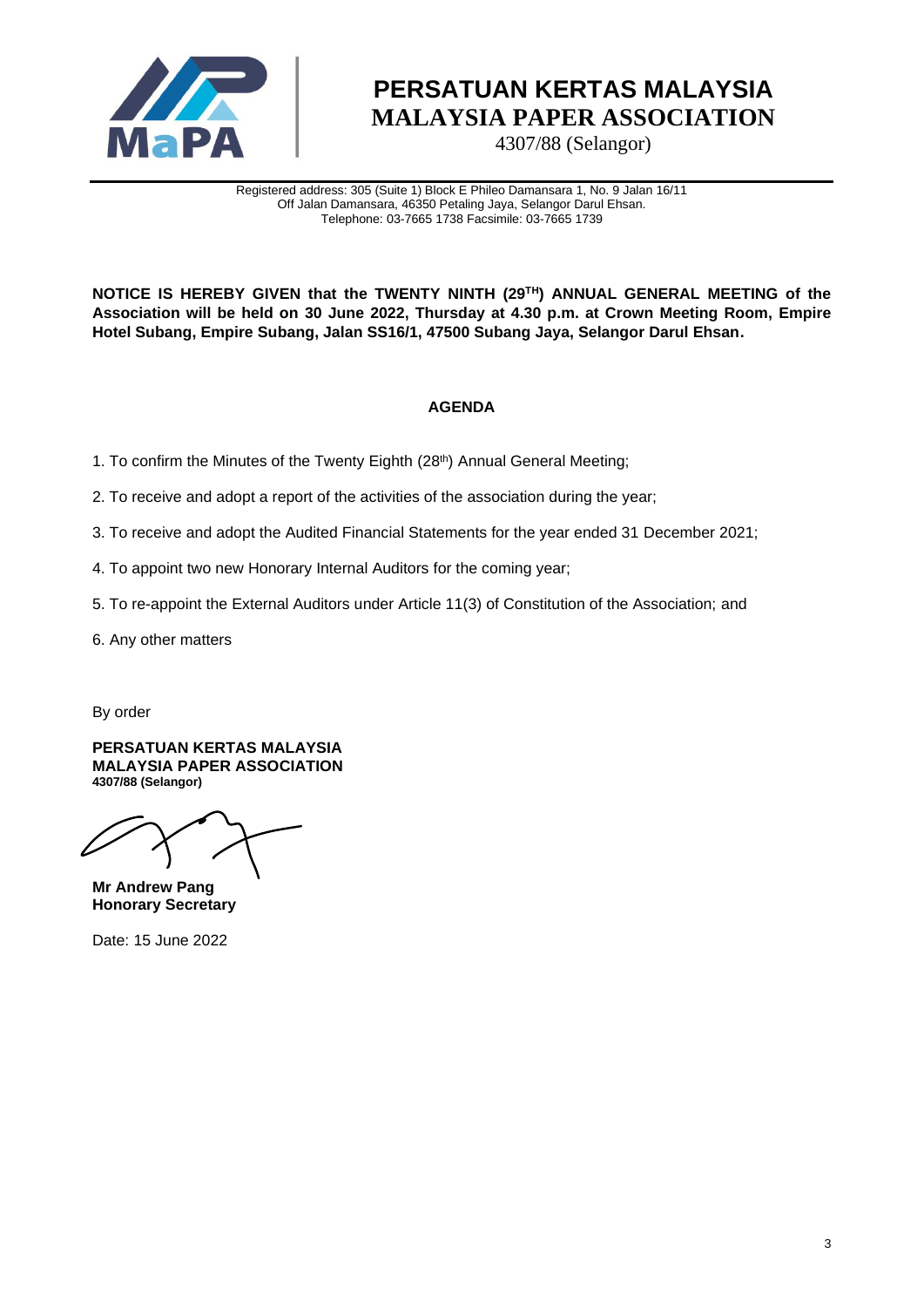

4307/88 (Selangor)

Registered address: 305 (Suite 1) Block E Phileo Damansara 1, No. 9 Jalan 16/11 Off Jalan Damansara, 46350 Petaling Jaya, Selangor Darul Ehsan. Telephone: 03-7665 1738 Facsimile: 03-7665 1739

**NOTICE IS HEREBY GIVEN that the TWENTY NINTH (29 TH) ANNUAL GENERAL MEETING of the Association will be held on 30 June 2022, Thursday at 4.30 p.m. at Crown Meeting Room, Empire Hotel Subang, Empire Subang, Jalan SS16/1, 47500 Subang Jaya, Selangor Darul Ehsan.**

### **AGENDA**

- 1. To confirm the Minutes of the Twenty Eighth (28<sup>th</sup>) Annual General Meeting;
- 2. To receive and adopt a report of the activities of the association during the year;
- 3. To receive and adopt the Audited Financial Statements for the year ended 31 December 2021;
- 4. To appoint two new Honorary Internal Auditors for the coming year;
- 5. To re-appoint the External Auditors under Article 11(3) of Constitution of the Association; and
- 6. Any other matters

By order

**PERSATUAN KERTAS MALAYSIA MALAYSIA PAPER ASSOCIATION 4307/88 (Selangor)**

**Mr Andrew Pang Honorary Secretary**

Date: 15 June 2022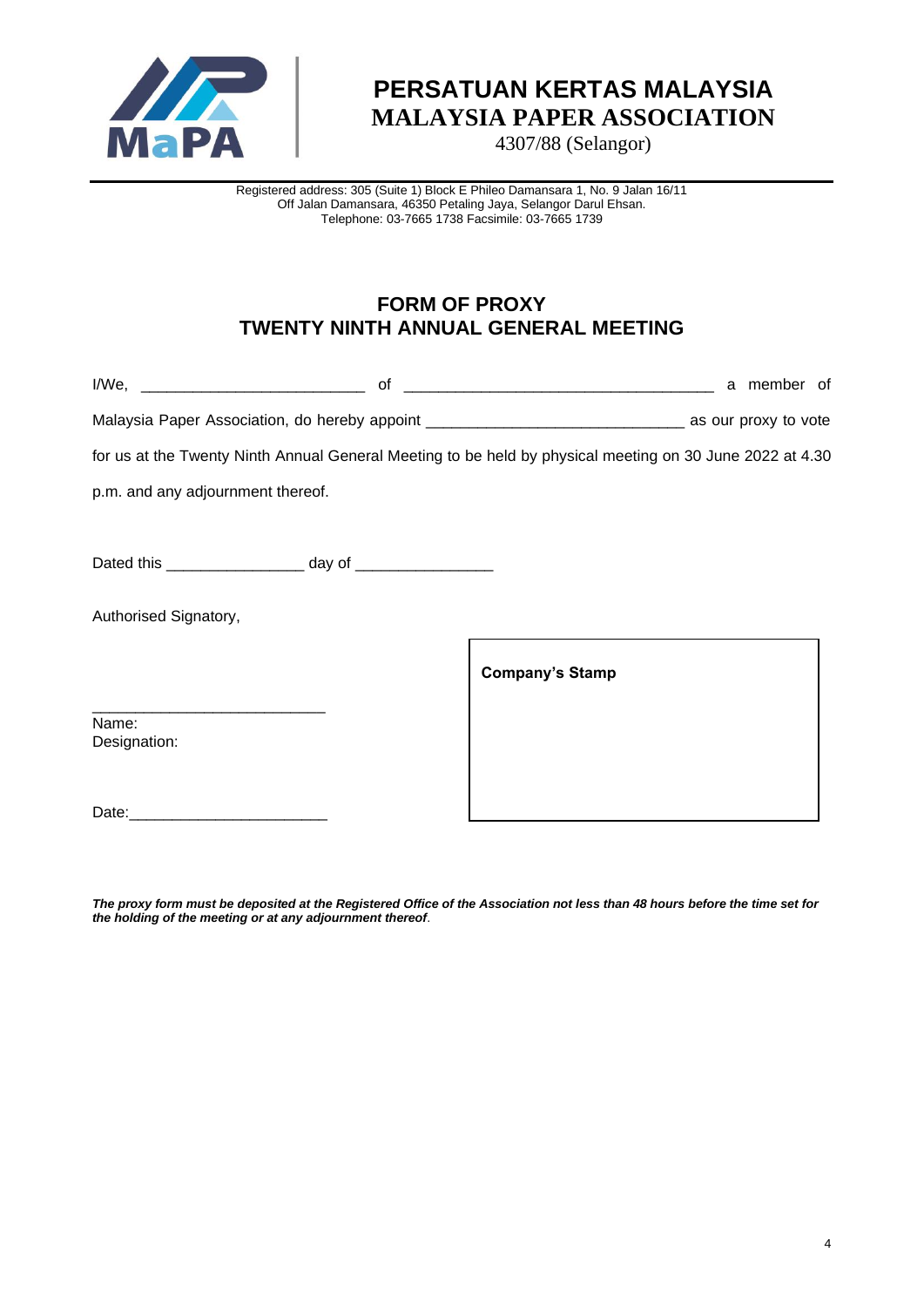

4307/88 (Selangor)

Registered address: 305 (Suite 1) Block E Phileo Damansara 1, No. 9 Jalan 16/11 Off Jalan Damansara, 46350 Petaling Jaya, Selangor Darul Ehsan. Telephone: 03-7665 1738 Facsimile: 03-7665 1739

### **FORM OF PROXY TWENTY NINTH ANNUAL GENERAL MEETING**

|                                   | for us at the Twenty Ninth Annual General Meeting to be held by physical meeting on 30 June 2022 at 4.30 |
|-----------------------------------|----------------------------------------------------------------------------------------------------------|
| p.m. and any adjournment thereof. |                                                                                                          |
|                                   |                                                                                                          |
|                                   |                                                                                                          |
| Authorised Signatory,             |                                                                                                          |
|                                   | <b>Company's Stamp</b>                                                                                   |
| Name:<br>Designation:             |                                                                                                          |
|                                   |                                                                                                          |

*The proxy form must be deposited at the Registered Office of the Association not less than 48 hours before the time set for the holding of the meeting or at any adjournment thereof*.